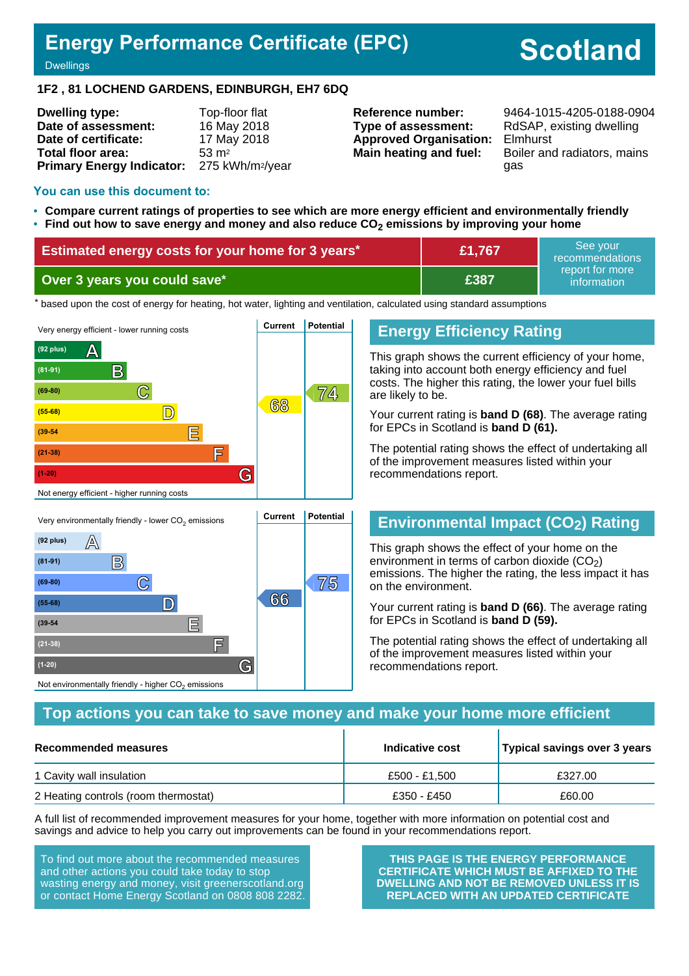# **Energy Performance Certificate (EPC)**

# **Scotland**

**Dwellings** 

#### **1F2 , 81 LOCHEND GARDENS, EDINBURGH, EH7 6DQ**

| <b>Dwelling type:</b>                                  | Top-floor flat     |
|--------------------------------------------------------|--------------------|
| Date of assessment:                                    | 16 May 2018        |
| Date of certificate:                                   | 17 May 2018        |
| Total floor area:                                      | $53 \, \text{m}^2$ |
| Primary Energy Indicator: 275 kWh/m <sup>2</sup> /year |                    |

**Type of assessment:** RdSAP, existing dwelling **Approved Organisation:** Elmhurst

**Reference number:** 9464-1015-4205-0188-0904 **Main heating and fuel:** Boiler and radiators, mains gas

#### **You can use this document to:**

- **Compare current ratings of properties to see which are more energy efficient and environmentally friendly**
- **Find out how to save energy and money and also reduce CO2 emissions by improving your home**

| Estimated energy costs for your home for 3 years* | E1,767      | See vour<br>recommendations    |
|---------------------------------------------------|-------------|--------------------------------|
| Over 3 years you could save*                      | <b>£387</b> | report for more<br>information |

the based upon the cost of energy for heating, hot water, lighting and ventilation, calculated using standard assumptions



#### **Energy Efficiency Rating**

This graph shows the current efficiency of your home, taking into account both energy efficiency and fuel costs. The higher this rating, the lower your fuel bills are likely to be.

Your current rating is **band D (68)**. The average rating for EPCs in Scotland is **band D (61).**

The potential rating shows the effect of undertaking all of the improvement measures listed within your recommendations report.

# **Environmental Impact (CO2) Rating**

This graph shows the effect of your home on the environment in terms of carbon dioxide  $(CO<sub>2</sub>)$ emissions. The higher the rating, the less impact it has on the environment.

Your current rating is **band D (66)**. The average rating for EPCs in Scotland is **band D (59).**

The potential rating shows the effect of undertaking all of the improvement measures listed within your recommendations report.

#### **Top actions you can take to save money and make your home more efficient**

| Recommended measures                 | Indicative cost | Typical savings over 3 years |
|--------------------------------------|-----------------|------------------------------|
| 1 Cavity wall insulation             | £500 - £1.500   | £327.00                      |
| 2 Heating controls (room thermostat) | £350 - £450     | £60.00                       |

A full list of recommended improvement measures for your home, together with more information on potential cost and savings and advice to help you carry out improvements can be found in your recommendations report.

To find out more about the recommended measures and other actions you could take today to stop wasting energy and money, visit greenerscotland.org or contact Home Energy Scotland on 0808 808 2282.

Not environmentally friendly - higher  $\mathrm{CO}_2$  emissions

**THIS PAGE IS THE ENERGY PERFORMANCE CERTIFICATE WHICH MUST BE AFFIXED TO THE DWELLING AND NOT BE REMOVED UNLESS IT IS REPLACED WITH AN UPDATED CERTIFICATE**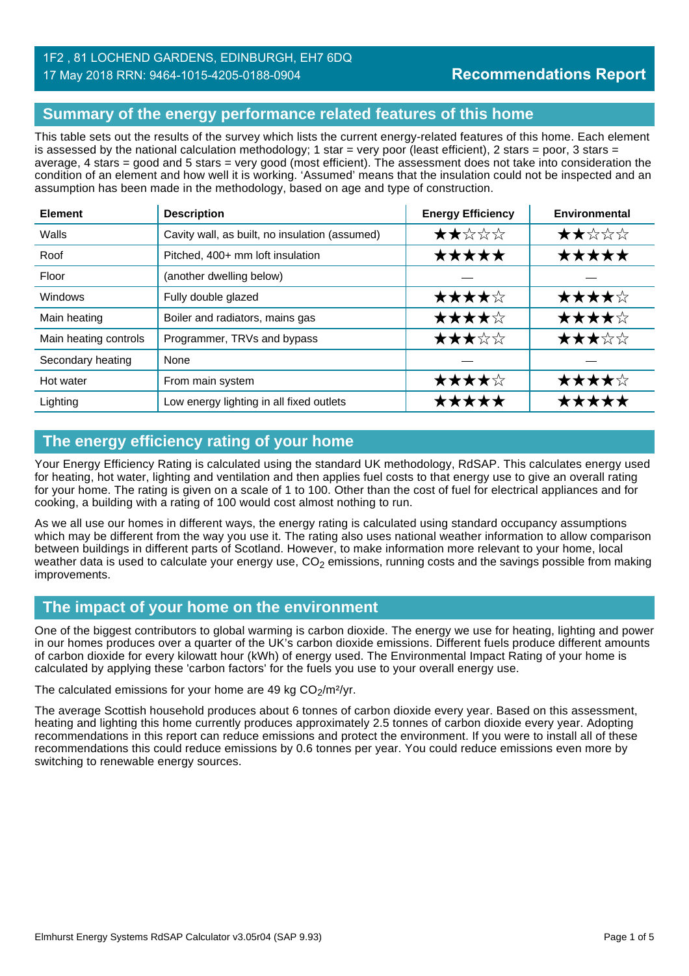# **Summary of the energy performance related features of this home**

This table sets out the results of the survey which lists the current energy-related features of this home. Each element is assessed by the national calculation methodology; 1 star = very poor (least efficient), 2 stars = poor, 3 stars = average, 4 stars = good and 5 stars = very good (most efficient). The assessment does not take into consideration the condition of an element and how well it is working. 'Assumed' means that the insulation could not be inspected and an assumption has been made in the methodology, based on age and type of construction.

| <b>Element</b>        | <b>Description</b>                             | <b>Energy Efficiency</b> | Environmental |
|-----------------------|------------------------------------------------|--------------------------|---------------|
| Walls                 | Cavity wall, as built, no insulation (assumed) | ★★☆☆☆                    | ★★☆☆☆         |
| Roof                  | Pitched, 400+ mm loft insulation               | ★★★★★                    | *****         |
| Floor                 | (another dwelling below)                       |                          |               |
| Windows               | Fully double glazed                            | ★★★★☆                    | ★★★★☆         |
| Main heating          | Boiler and radiators, mains gas                | ★★★★☆                    | ★★★★☆         |
| Main heating controls | Programmer, TRVs and bypass                    | ★★★☆☆                    | ★★★☆☆         |
| Secondary heating     | None                                           |                          |               |
| Hot water             | From main system                               | ★★★★☆                    | ★★★★☆         |
| Lighting              | Low energy lighting in all fixed outlets       | *****                    | *****         |

# **The energy efficiency rating of your home**

Your Energy Efficiency Rating is calculated using the standard UK methodology, RdSAP. This calculates energy used for heating, hot water, lighting and ventilation and then applies fuel costs to that energy use to give an overall rating for your home. The rating is given on a scale of 1 to 100. Other than the cost of fuel for electrical appliances and for cooking, a building with a rating of 100 would cost almost nothing to run.

As we all use our homes in different ways, the energy rating is calculated using standard occupancy assumptions which may be different from the way you use it. The rating also uses national weather information to allow comparison between buildings in different parts of Scotland. However, to make information more relevant to your home, local weather data is used to calculate your energy use,  $CO<sub>2</sub>$  emissions, running costs and the savings possible from making improvements.

# **The impact of your home on the environment**

One of the biggest contributors to global warming is carbon dioxide. The energy we use for heating, lighting and power in our homes produces over a quarter of the UK's carbon dioxide emissions. Different fuels produce different amounts of carbon dioxide for every kilowatt hour (kWh) of energy used. The Environmental Impact Rating of your home is calculated by applying these 'carbon factors' for the fuels you use to your overall energy use.

The calculated emissions for your home are 49 kg  $CO<sub>2</sub>/m<sup>2</sup>/yr$ .

The average Scottish household produces about 6 tonnes of carbon dioxide every year. Based on this assessment, heating and lighting this home currently produces approximately 2.5 tonnes of carbon dioxide every year. Adopting recommendations in this report can reduce emissions and protect the environment. If you were to install all of these recommendations this could reduce emissions by 0.6 tonnes per year. You could reduce emissions even more by switching to renewable energy sources.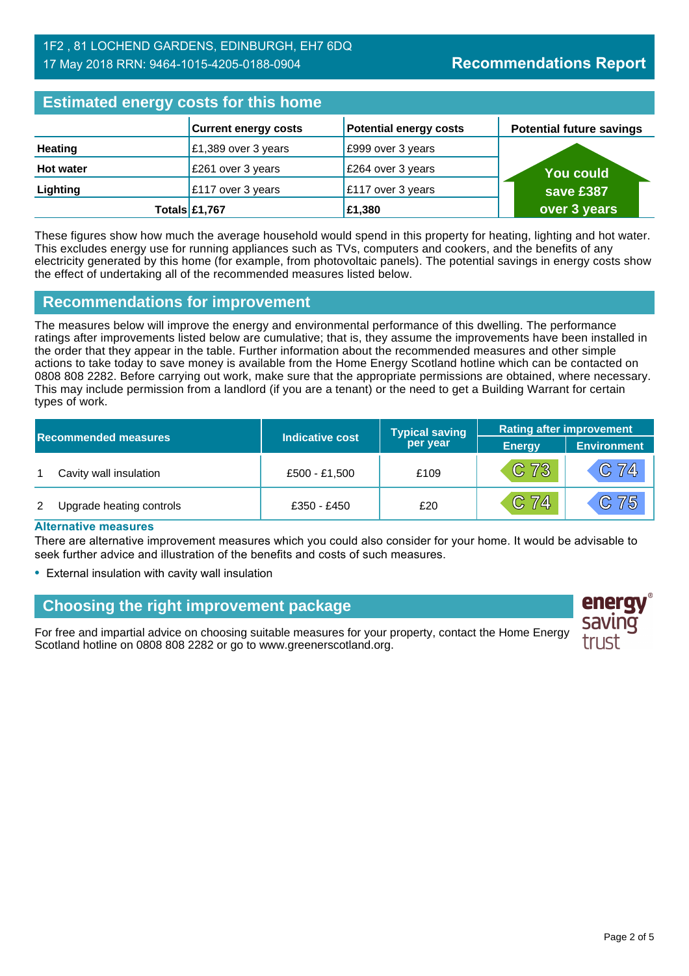| <b>Estimated energy costs for this home</b> |                             |                               |                                 |
|---------------------------------------------|-----------------------------|-------------------------------|---------------------------------|
|                                             | <b>Current energy costs</b> | <b>Potential energy costs</b> | <b>Potential future savings</b> |
| <b>Heating</b>                              | £1,389 over 3 years         | E999 over 3 years             |                                 |
| <b>Hot water</b>                            | £261 over 3 years           | £264 over 3 years             | <b>You could</b>                |
| Lighting                                    | £117 over 3 years           | £117 over 3 years             | save £387                       |
|                                             | Totals £1,767               | £1,380                        | over 3 years                    |

These figures show how much the average household would spend in this property for heating, lighting and hot water. This excludes energy use for running appliances such as TVs, computers and cookers, and the benefits of any electricity generated by this home (for example, from photovoltaic panels). The potential savings in energy costs show the effect of undertaking all of the recommended measures listed below.

#### **Recommendations for improvement**

The measures below will improve the energy and environmental performance of this dwelling. The performance ratings after improvements listed below are cumulative; that is, they assume the improvements have been installed in the order that they appear in the table. Further information about the recommended measures and other simple actions to take today to save money is available from the Home Energy Scotland hotline which can be contacted on 0808 808 2282. Before carrying out work, make sure that the appropriate permissions are obtained, where necessary. This may include permission from a landlord (if you are a tenant) or the need to get a Building Warrant for certain types of work.

|   |                             |                        | <b>Typical saving</b> | <b>Rating after improvement</b> |                    |
|---|-----------------------------|------------------------|-----------------------|---------------------------------|--------------------|
|   | <b>Recommended measures</b> | <b>Indicative cost</b> | per year              | <b>Energy</b>                   | <b>Environment</b> |
|   | Cavity wall insulation      | £500 - £1,500          | £109                  | C <sub>73</sub>                 | $C$ 74             |
| 2 | Upgrade heating controls    | £350 - £450            | £20                   | C 74                            | C75                |

#### **Alternative measures**

There are alternative improvement measures which you could also consider for your home. It would be advisable to seek further advice and illustration of the benefits and costs of such measures.

• External insulation with cavity wall insulation

# **Choosing the right improvement package**

For free and impartial advice on choosing suitable measures for your property, contact the Home Energy Scotland hotline on 0808 808 2282 or go to www.greenerscotland.org.

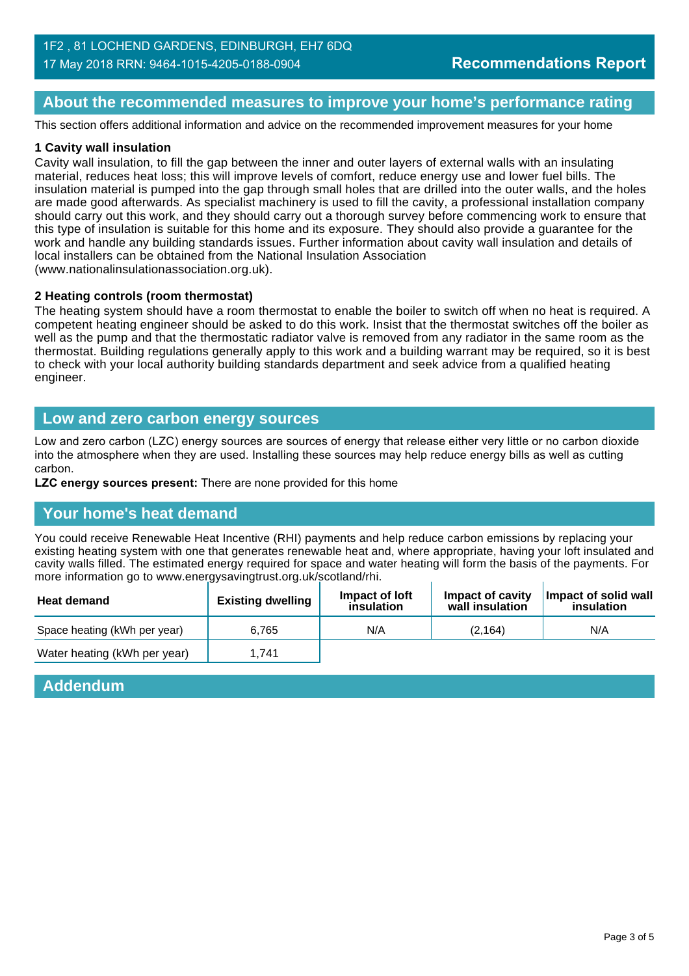#### **About the recommended measures to improve your home's performance rating**

This section offers additional information and advice on the recommended improvement measures for your home

#### **1 Cavity wall insulation**

Cavity wall insulation, to fill the gap between the inner and outer layers of external walls with an insulating material, reduces heat loss; this will improve levels of comfort, reduce energy use and lower fuel bills. The insulation material is pumped into the gap through small holes that are drilled into the outer walls, and the holes are made good afterwards. As specialist machinery is used to fill the cavity, a professional installation company should carry out this work, and they should carry out a thorough survey before commencing work to ensure that this type of insulation is suitable for this home and its exposure. They should also provide a guarantee for the work and handle any building standards issues. Further information about cavity wall insulation and details of local installers can be obtained from the National Insulation Association (www.nationalinsulationassociation.org.uk).

#### **2 Heating controls (room thermostat)**

The heating system should have a room thermostat to enable the boiler to switch off when no heat is required. A competent heating engineer should be asked to do this work. Insist that the thermostat switches off the boiler as well as the pump and that the thermostatic radiator valve is removed from any radiator in the same room as the thermostat. Building regulations generally apply to this work and a building warrant may be required, so it is best to check with your local authority building standards department and seek advice from a qualified heating engineer.

#### **Low and zero carbon energy sources**

Low and zero carbon (LZC) energy sources are sources of energy that release either very little or no carbon dioxide into the atmosphere when they are used. Installing these sources may help reduce energy bills as well as cutting carbon.

**LZC energy sources present:** There are none provided for this home

#### **Your home's heat demand**

You could receive Renewable Heat Incentive (RHI) payments and help reduce carbon emissions by replacing your existing heating system with one that generates renewable heat and, where appropriate, having your loft insulated and cavity walls filled. The estimated energy required for space and water heating will form the basis of the payments. For more information go to www.energysavingtrust.org.uk/scotland/rhi.

| <b>Heat demand</b>           | <b>Existing dwelling</b> | Impact of loft<br>insulation | Impact of cavity<br>wall insulation | Impact of solid wall<br>insulation |
|------------------------------|--------------------------|------------------------------|-------------------------------------|------------------------------------|
| Space heating (kWh per year) | 6.765                    | N/A                          | (2, 164)                            | N/A                                |
| Water heating (kWh per year) | 1.741                    |                              |                                     |                                    |

#### **Addendum**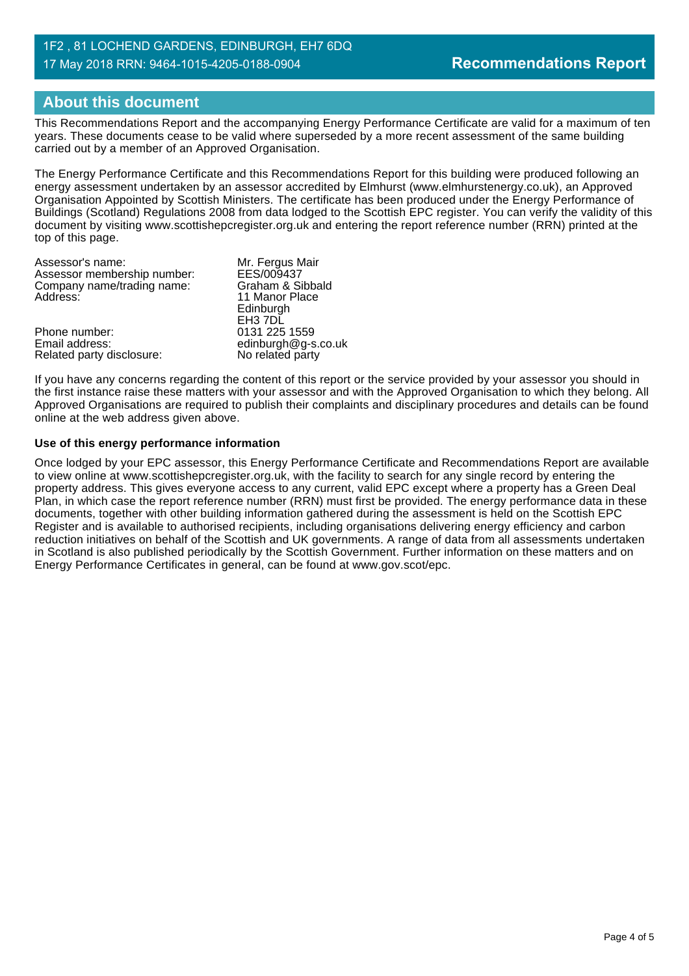# **About this document**

This Recommendations Report and the accompanying Energy Performance Certificate are valid for a maximum of ten years. These documents cease to be valid where superseded by a more recent assessment of the same building carried out by a member of an Approved Organisation.

The Energy Performance Certificate and this Recommendations Report for this building were produced following an energy assessment undertaken by an assessor accredited by Elmhurst (www.elmhurstenergy.co.uk), an Approved Organisation Appointed by Scottish Ministers. The certificate has been produced under the Energy Performance of Buildings (Scotland) Regulations 2008 from data lodged to the Scottish EPC register. You can verify the validity of this document by visiting www.scottishepcregister.org.uk and entering the report reference number (RRN) printed at the top of this page.

| Mr. Fergus Mair     |
|---------------------|
| EES/009437          |
| Graham & Sibbald    |
| 11 Manor Place      |
| Edinburgh           |
| EH3 7DL             |
| 0131 225 1559       |
| edinburgh@g-s.co.uk |
| No related party    |
|                     |

If you have any concerns regarding the content of this report or the service provided by your assessor you should in the first instance raise these matters with your assessor and with the Approved Organisation to which they belong. All Approved Organisations are required to publish their complaints and disciplinary procedures and details can be found online at the web address given above.

#### **Use of this energy performance information**

Once lodged by your EPC assessor, this Energy Performance Certificate and Recommendations Report are available to view online at www.scottishepcregister.org.uk, with the facility to search for any single record by entering the property address. This gives everyone access to any current, valid EPC except where a property has a Green Deal Plan, in which case the report reference number (RRN) must first be provided. The energy performance data in these documents, together with other building information gathered during the assessment is held on the Scottish EPC Register and is available to authorised recipients, including organisations delivering energy efficiency and carbon reduction initiatives on behalf of the Scottish and UK governments. A range of data from all assessments undertaken in Scotland is also published periodically by the Scottish Government. Further information on these matters and on Energy Performance Certificates in general, can be found at www.gov.scot/epc.